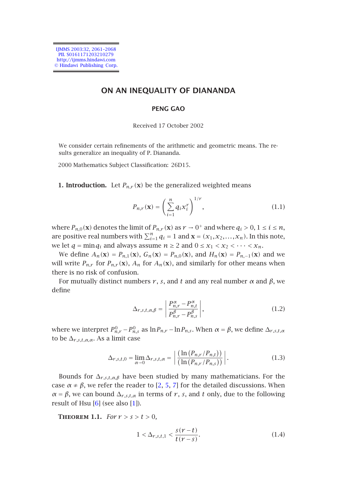IJMMS 2003:32, 2061–2068 PII. S0161171203210279 http://ijmms.hindawi.com © Hindawi Publishing Corp.

# **ON AN INEQUALITY OF DIANANDA**

### **PENG GAO**

#### Received 17 October 2002

We consider certain refinements of the arithmetic and geometric means. The results generalize an inequality of P. Diananda.

2000 Mathematics Subject Classification: 26D15.

**1. Introduction.** Let  $P_{n,r}(\mathbf{x})$  be the generalized weighted means

$$
P_{n,r}(\mathbf{x}) = \left(\sum_{i=1}^{n} q_i x_i^r\right)^{1/r},\tag{1.1}
$$

where  $P_{n,0}(\mathbf{x})$  denotes the limit of  $P_{n,r}(\mathbf{x})$  as  $r \to 0^+$  and where  $q_i > 0, 1 \le i \le n$ , are positive real numbers with  $\sum_{i=1}^{n} q_i = 1$  and  $\mathbf{x} = (x_1, x_2, ..., x_n)$ . In this note, we let  $q = \min q_i$  and always assume  $n \geq 2$  and  $0 \leq x_1 < x_2 < \cdots < x_n$ .

We define  $A_n(\mathbf{x}) = P_{n,1}(\mathbf{x})$ ,  $G_n(\mathbf{x}) = P_{n,0}(\mathbf{x})$ , and  $H_n(\mathbf{x}) = P_{n,-1}(\mathbf{x})$  and we will write  $P_{n,r}$  for  $P_{n,r}(\mathbf{x})$ ,  $A_n$  for  $A_n(\mathbf{x})$ , and similarly for other means when there is no risk of confusion.

For mutually distinct numbers  $r$ ,  $s$ , and  $t$  and any real number  $α$  and  $β$ , we define

$$
\Delta_{r,s,t,\alpha,\beta} = \left| \frac{P_{n,r}^{\alpha} - P_{n,t}^{\alpha}}{P_{n,r}^{\beta} - P_{n,s}^{\beta}} \right|,
$$
\n(1.2)

<span id="page-0-0"></span>where we inte[rp](#page-7-3)ret  $P_{n,r}^0 - P_{n,s}^0$  $P_{n,r}^0 - P_{n,s}^0$  $P_{n,r}^0 - P_{n,s}^0$  as  $\ln P_{n,r} - \ln P_{n,s}$ . When  $\alpha = \beta$ , we define  $\Delta_{r,s,t,\alpha}$ to be  $\Delta_{r,s,t,\alpha,\alpha}$ . As a limit case

$$
\Delta_{r,s,t,0} = \lim_{\alpha \to 0} \Delta_{r,s,t,\alpha} = \left| \frac{\left( \ln \left( P_{n,r} / P_{n,t} \right) \right)}{\left( \ln \left( P_{n,r} / P_{n,s} \right) \right)} \right|.
$$
\n(1.3)

Bounds for  $\Delta_{r,s,t,\alpha,\beta}$  have been studied by many mathematicians. For the case  $\alpha \neq \beta$ , we refer the reader to [2, 5, 7] for the detailed discussions. When *α* = *β*, we can bound  $\Delta$ <sup>*r*</sup>,*s*,*t*,*α* in terms of *r*, *s*, and *t* only, due to the following result of Hsu  $[6]$  (see also  $[1]$ ).

**THEOREM 1.1.** *For*  $r > s > t > 0$ *,* 

$$
1 < \Delta_{r,s,t,1} < \frac{s(r-t)}{t(r-s)}.\tag{1.4}
$$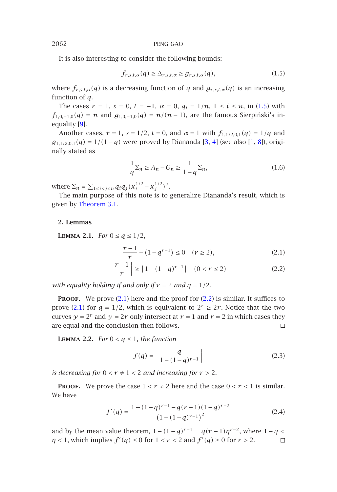It is also interesting to consider the following b[ou](#page-7-5)[nd](#page-7-6)s:

$$
f_{r,s,t,\alpha}(q) \geq \Delta_{r,s,t,\alpha} \geq g_{r,s,t,\alpha}(q), \qquad (1.5)
$$

where  $f_{r,s,t,\alpha}(q)$  is a decreasing function of *q* and  $g_{r,s,t,\alpha}(q)$  is an increasing function of *q*.

The cases  $r = 1$ ,  $s = 0$ ,  $t = -1$ ,  $\alpha = 0$ ,  $q_i = 1/n$ ,  $1 \le i \le n$ , in (1.5) with  $f_{1,0,-1,0}(q) = n$  and  $g_{1,0,-1,0}(q) = n/(n-1)$ , are the famous Sierpinski's inequality [\[9\].](#page-2-0)

<span id="page-1-2"></span>Another cases,  $r = 1$ ,  $s = 1/2$ ,  $t = 0$ , and  $\alpha = 1$  with  $f_{1,1/2,0,1}(q) = 1/q$  and *g*<sub>1,1/2,0,1</sub>(*q*) = 1/(1−*q*) were proved by Diananda [3, 4] (see also [1, 8]), originally stated as

<span id="page-1-1"></span><span id="page-1-0"></span>
$$
\frac{1}{q}\Sigma_n \ge A_n - G_n \ge \frac{1}{1-q}\Sigma_n,\tag{1.6}
$$

where  $\Sigma_n = \sum_{1 \le i < j \le n} q_i q_j (x_i^{1/2} - x_j^{1/2})^2$ .

The main purpose of this note is to generalize Diananda's result, which is given by Theorem 3.1.

### **2. Lemmas**

**LEMMA 2.1.** For 
$$
0 \le q \le 1/2
$$
,

$$
\frac{r-1}{r} - (1 - q^{r-1}) \le 0 \quad (r \ge 2),\tag{2.1}
$$

$$
\left|\frac{r-1}{r}\right| \ge |1 - (1 - q)^{r-1}| \quad (0 < r \le 2)
$$
 (2.2)

*with equality holding if and only if*  $r = 2$  *and*  $q = 1/2$ *.* 

**PROOF.** We prove (2.1) here and the proof for (2.2) is similar. It suffices to prove (2.1) for  $q = 1/2$ , which is equivalent to  $2^r \ge 2r$ . Notice that the two curves *y* = 2<sup>*r*</sup> and *y* = 2*r* only intersect at *r* = 1 and *r* = 2 in which cases they are equal and the conclusion then follows. are equal and the conclusion then follows.

**LEMMA 2.2.** *For*  $0 < q \leq 1$ *, the function* 

$$
f(q) = \left| \frac{q}{1 - (1 - q)^{r - 1}} \right| \tag{2.3}
$$

*is decreasing for*  $0 < r \neq 1 < 2$  *and increasing for*  $r > 2$ *.* 

**PROOF.** We prove the case  $1 < r \neq 2$  here and the case  $0 < r < 1$  is similar. We have

$$
f'(q) = \frac{1 - (1 - q)^{r-1} - q(r-1)(1-q)^{r-2}}{\left(1 - (1 - q)^{r-1}\right)^2}
$$
\n(2.4)

and by the mean value theorem,  $1 - (1 - q)^{r-1} = q(r - 1)\eta^{r-2}$ , where  $1 - q < \eta < 1$ , which implies  $f'(q) \le 0$  for  $1 < r < 2$  and  $f'(q) \ge 0$  for  $r > 2$ . □ *n* < 1, which implies  $f'(q) \le 0$  for  $1 < r < 2$  and  $f'(q) \ge 0$  for  $r > 2$ .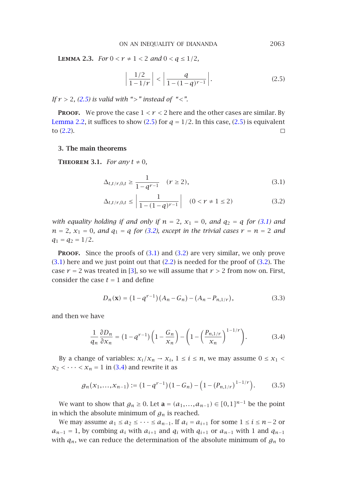<span id="page-2-1"></span>ON AN I[NEQU](#page-2-1)ALITY OF DIANANDA 2063

<span id="page-2-0"></span>**LEMMA 2.3.** *For*  $0 < r \neq 1 < 2$  *and*  $0 < q \leq 1/2$ *,* 

<span id="page-2-3"></span><span id="page-2-2"></span>
$$
\left|\frac{1/2}{1-1/r}\right| < \left|\frac{q}{1-(1-q)^{r-1}}\right|.\tag{2.5}
$$

*If r >* <sup>2</sup>*, (2.5) is valid with ">" instead of "<".*

**PROOF.** We prove the case  $1 < r < 2$  here and the other cases are similar. By Lemma 2.2, it suffices to show (2.5) for  $q = 1/2$ . In this case, (2.5) is equivalent to (2.2). to (2.2).

# **3. The main theorems**

**THEOREM** 3.1. *For any*  $t \neq 0$ *,* 

$$
\Delta_{t,t/r,0,t} \ge \frac{1}{1 - q^{r-1}} \quad (r \ge 2),\tag{3.1}
$$

$$
\Delta_{t,t/r,0,t} \le \left| \frac{1}{1 - (1 - q)^{r - 1}} \right| \quad (0 < r \ne 1 \le 2)
$$
 (3.2)

*with equality holding if and only if*  $n = 2$ ,  $x_1 = 0$ , and  $q_2 = q$  for (3.1) and  $n = 2$ ,  $x_1 = 0$ , and  $q_1 = q$  for (3.2), except in the trivial cases  $r = n = 2$  and  $q_1 = q_2 = 1/2$ .

**PROOF.** Since the proofs of (3.1) and (3.2) are very similar, we only prove  $(3.1)$  here and we just point out that  $(2.2)$  is needed for the proof of  $(3.2)$ . The case  $r = 2$  was treated in [3], so we will assume that  $r > 2$  from now on. First, consider the case  $t = 1$  and define

$$
D_n(\mathbf{x}) = (1 - q^{r-1})(A_n - G_n) - (A_n - P_{n,1/r}),
$$
\n(3.3)

and then we have

$$
\frac{1}{q_n}\frac{\partial D_n}{\partial x_n} = (1 - q^{r-1})\left(1 - \frac{G_n}{x_n}\right) - \left(1 - \left(\frac{P_{n,1/r}}{x_n}\right)^{1 - 1/r}\right). \tag{3.4}
$$

By a change of variables:  $x_i/x_n \rightarrow x_i$ ,  $1 \le i \le n$ , we may assume  $0 \le x_1$  $x_2$  *< · · · <*  $x_n$  = 1 in (3.4) and rewrite it as

$$
g_n(x_1,...,x_{n-1}) := (1 - q^{r-1})(1 - G_n) - (1 - (P_{n,1/r})^{1-1/r}).
$$
 (3.5)

We want to show that *g<sub>n</sub>* ≥ 0. Let **a** =  $(a_1,...,a_{n-1})$  ∈  $[0,1]^{n-1}$  be the point in which the absolute minimum of  $g_n$  is reached.

We may assume  $a_1 \le a_2 \le \cdots \le a_{n-1}$ . If  $a_i = a_{i+1}$  for some  $1 \le i \le n-2$  or *a*<sub>*n*−1</sub> = 1, by combing *a<sub>i</sub>* with *a*<sub>*i*+1</sub> and *q<sub>i</sub>* with *q*<sub>*i*+1</sub> or *a*<sub>*n*−1</sub> with 1 and *q*<sub>*n*−1</sub> with  $q_n$ , we can reduce the determination of the absolute minimum of  $g_n$  to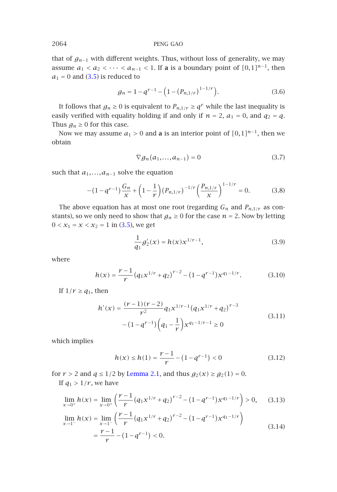that of *gn*−<sup>1</sup> with different weights. Thus, without loss of generality, we may assume  $a_1 < a_2 < \cdots < a_{n-1} < 1$ . If **a** is a boundary point of  $[0,1]^{n-1}$ , then  $a_1 = 0$  and (3.5) is reduced to

$$
g_n = 1 - q^{r-1} - \left(1 - \left(P_{n,1/r}\right)^{1-1/r}\right). \tag{3.6}
$$

It follows that  $g_n \geq 0$  is equivalent to  $P_{n,1/r} \geq q^r$  while the last inequality is easily verified with equality holding if and only if  $n = 2$ ,  $a_1 = 0$ , and  $q_2 = q$ . Thus  $g_n \geq 0$  for this case.

Now we may assume  $a_1 > 0$  and **a** is an interior point of  $[0,1]^{n-1}$ , then we obtain

$$
\nabla g_n(a_1,\ldots,a_{n-1}) = 0 \tag{3.7}
$$

such that  $a_1, \ldots, a_{n-1}$  solve the equation

$$
-(1-q^{r-1})\frac{G_n}{x} + \left(1-\frac{1}{r}\right)(P_{n,1/r})^{-1/r}\left(\frac{P_{n,1/r}}{x}\right)^{1-1/r} = 0.
$$
 (3.8)

The above equation has at most one root (regarding  $G_n$  and  $P_{n,1/r}$  as constants), so we only need to show that  $g_n \geq 0$  for the case  $n = 2$ . Now by letting  $0 < x_1 = x < x_2 = 1$  in (3.5), we get

$$
\frac{1}{q_1}g'_2(x) = h(x)x^{1/r-1},
$$
\n(3.9)

where

$$
h(x) = \frac{r-1}{r} (q_1 x^{1/r} + q_2)^{r-2} - (1 - q^{r-1}) x^{q_1 - 1/r}.
$$
 (3.10)

If  $1/r \geq q_1$ , then

$$
h'(x) = \frac{(r-1)(r-2)}{r^2} q_1 x^{1/r-1} (q_1 x^{1/r} + q_2)^{r-3}
$$
  
-(1-q<sup>r-1</sup>)  $\left(q_1 - \frac{1}{r}\right) x^{q_1-1/r-1} \ge 0$  (3.11)

which implies

<span id="page-3-0"></span>
$$
h(x) \le h(1) = \frac{r-1}{r} - (1 - q^{r-1}) < 0 \tag{3.12}
$$

for  $r > 2$  and  $q \le 1/2$  by Lemma 2.1, and thus  $g_2(x) \ge g_2(1) = 0$ . If  $q_1 > 1/r$ , we have

$$
\lim_{x \to 0^{+}} h(x) = \lim_{x \to 0^{+}} \left( \frac{r-1}{r} (q_1 x^{1/r} + q_2)^{r-2} - (1 - q^{r-1}) x^{q_1 - 1/r} \right) > 0, \quad (3.13)
$$
\n
$$
\lim_{x \to 1^{-}} h(x) = \lim_{x \to 1^{-}} \left( \frac{r-1}{r} (q_1 x^{1/r} + q_2)^{r-2} - (1 - q^{r-1}) x^{q_1 - 1/r} \right)
$$
\n
$$
= \frac{r-1}{r} - (1 - q^{r-1}) < 0.
$$
\n(3.14)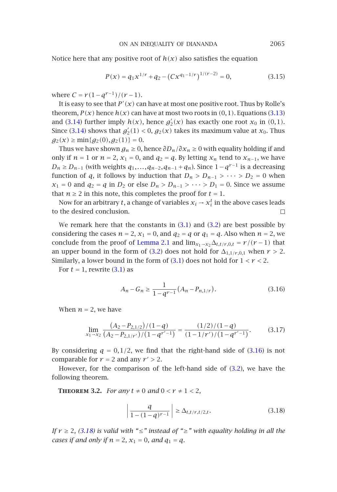ON AN INEQUALITY OF DIANANDA 2065

Notic[e](#page-3-0) [here](#page-3-0) that any positive root of  $h(x)$  also satisfies the equation

$$
P(x) = q_1 x^{1/r} + q_2 - (Cx^{q_1 - 1/r})^{1/(r-2)} = 0,
$$
\n(3.15)

where  $C = r(1 - q^{r-1})/(r - 1)$ .

It is easy to see that  $P'(x)$  can have at most one positive root. Thus by Rolle's<br>cannot  $P(x)$  have  $h(x)$  can have at most two gosts in  $(0,1)$ . Experience  $(2,1)$ theorem,  $P(x)$  hence  $h(x)$  can have at most two roots in  $(0,1)$ . Equations (3.13) and (3.14) further imply  $h(x)$ , hence  $g'_2(x)$  has exactly one root  $x_0$  in  $(0,1)$ . Since (3.14) shows that  $g'_2(1) < 0$ ,  $g_2(x)$  takes its maximum value at  $x_0$ . Thus  $g_2(x) \ge \min\{g_2(0), g_2(1)\} = 0.$ 

Thus w[e](#page-2-3) have shown  $g_n \geq 0$ , hence  $\partial D_n / \partial x_n \geq 0$  w[ith](#page-2-3) equality holding if and only if *n* = 1 or *n* = 2,  $x_1$  = 0, and  $q_2$  $q_2$  =  $q$ . By letting  $x_n$  tend to  $x_{n-1}$ , we have *D<sub>n</sub>* ≥ *D<sub>n−1</sub>* (with weights  $q_1, ..., q_{n-2}, q_{n-1} + q_n$ ). Since  $1 - q^{r-1}$  is a decreasing function of *q*, it follows by ind[uctio](#page-2-3)n that  $D_n > D_{n-1} > \cdots > D_2 = 0$  when *x*<sub>1</sub> = 0 and *q*<sub>2</sub> = *q* in *D*<sub>2</sub> or else *D<sub>n</sub>* > *D<sub>n</sub>*[−](#page-2-2)1 > ··· > *D*<sub>1</sub> = 0. Since we assume [t](#page-2-2)hat  $n \geq 2$  in this no[te,](#page-2-2) this completes the proof for  $t = 1$ .

Now for an arbitrary *t*, a change of variables  $x_i \rightarrow x_i^t$  in the above cases leads the decired conclusion to the desired conclusion.

We remark here that the constants in  $(3.1)$  and  $(3.2)$  are best possible by considering the cases  $n = 2$ ,  $x_1 = 0$ , and  $q_2 = q$  or  $q_1 = q$ . Also when  $n = 2$ , we conclude from the proof of Lemma 2.1 and  $\lim_{x_1 \to x_2} \Delta_{t,t/r,0,t} = r/(r-1)$  that an upper bound in the form of (3.2) does not hold for  $\Delta_{1,1/r,0,1}$  when  $r > 2$ . Similarly, a lower bound in the form of  $(3.1)$  does not hold for  $1 < r < 2$ .

For  $t = 1$ , rewrite  $(3.1)$  as

<span id="page-4-0"></span>
$$
A_n - G_n \ge \frac{1}{1 - q^{r-1}} (A_n - P_{n,1/r}).
$$
\n(3.16)

<span id="page-4-1"></span>When  $n = 2$ , we have

$$
\lim_{x_1 \to x_2} \frac{(A_2 - P_{2,1/2})/(1-q)}{(A_2 - P_{2,1/r'})/(1-q^{r'-1})} = \frac{(1/2)/(1-q)}{(1-1/r')/(1-q^{r'-1})}.
$$
(3.17)

By consi[dering](#page-4-0)  $q = 0, 1/2$ , we find that the right-hand side of  $(3.16)$  is not comparable for  $r = 2$  and any  $r' > 2$ .

However, for the comparison of the left-hand side of (3.2), we have the following theorem.

**THEOREM** 3.2. *For any*  $t \neq 0$  *and*  $0 < r \neq 1 < 2$ *,* 

$$
\left| \frac{q}{1 - (1 - q)^{r - 1}} \right| \ge \Delta_{t, t / r, t / 2, t}.
$$
 (3.18)

*If r* <sup>≥</sup> <sup>2</sup>*, (3.18) is valid with "*≤*" instead of "*≥*" with equality holding in all the cases if and only if*  $n = 2$ ,  $x_1 = 0$ , and  $q_1 = q$ .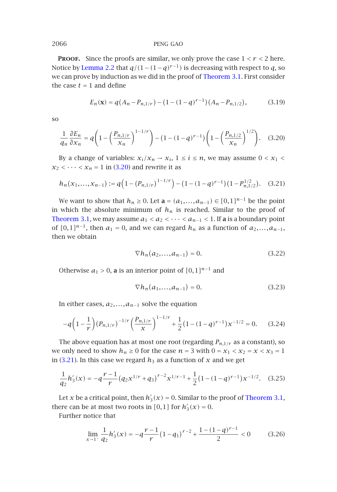**PROOF.** Since the proofs are similar, we only prove the case  $1 < r < 2$  here. Notice by Lemma 2.2 that  $q/(1-(1-q)^{r-1})$  is decreasing with respect to *q*, so we can prove by induction as we did in the proof of Theorem 3.1. First consider the case  $t = 1$  and d[efine](#page-5-0)

<span id="page-5-0"></span>
$$
E_n(\mathbf{x}) = q(A_n - P_{n,1/r}) - (1 - (1 - q)^{r-1})(A_n - P_{n,1/2}),
$$
(3.19)

so

$$
\frac{1}{q_n} \frac{\partial E_n}{\partial x_n} = q \left( 1 - \left( \frac{P_{n,1/r}}{x_n} \right)^{1-1/r} \right) - (1 - (1 - q)^{r-1}) \left( 1 - \left( \frac{P_{n,1/2}}{x_n} \right)^{1/2} \right). \tag{3.20}
$$

By a change of variables:  $x_i/x_n \rightarrow x_i$ ,  $1 \le i \le n$ , we may assume  $0 < x_1 <$  $x_2$  *< · · · <*  $x_n$  = 1 in (3.20) and rewrite it as

$$
h_n(x_1,...,x_{n-1}) := q\left(1 - (P_{n,1/r})^{1-1/r}\right) - \left(1 - (1-q)^{r-1}\right)\left(1 - P_{n,1/2}^{1/2}\right). \tag{3.21}
$$

We want to show that *h<sub>n</sub>* ≥ 0. Let **a** =  $(a_1, ..., a_{n-1})$  ∈  $[0, 1]^{n-1}$  be the point in which the absolute minimum of  $h_n$  is reached. Similar to the proof of Theorem 3.1, we may assume  $a_1 < a_2 < \cdots < a_{n-1} < 1$ . If **a** is a boundary point of  $[0,1]^{n-1}$ , then  $a_1 = 0$ , and we can regard  $h_n$  as a function of  $a_2,...,a_{n-1}$ , then we obtain

$$
\nabla h_n(a_2,...,a_{n-1}) = 0.
$$
 (3.22)

Otherwise  $a_1 > 0$ , **a** is an interior point of  $[0,1]^{n-1}$  and

$$
\nabla h_n(a_1,\ldots,a_{n-1})=0.\t(3.23)
$$

In either cases,  $a_2, \ldots, a_{n-1}$  solve the equation

$$
-q\left(1-\frac{1}{r}\right)(P_{n,1/r})^{-1/r}\left(\frac{P_{n,1/r}}{x}\right)^{1-1/r} + \frac{1}{2}\left(1-(1-q)^{r-1}\right)x^{-1/2} = 0.\tag{3.24}
$$

The above equation has at most one root (regarding  $P_{n,1/r}$  as a constant), so we only need to show  $h_n \geq 0$  for the case  $n = 3$  with  $0 = x_1 < x_2 = x < x_3 = 1$ in (3.21). In this case we regard  $h_3$  as a function of  $x$  and we get

$$
\frac{1}{q_2}h'_3(x) = -q\frac{r-1}{r}\left(q_2x^{1/r} + q_3\right)^{r-2}x^{1/r-1} + \frac{1}{2}\left(1 - (1-q)^{r-1}\right)x^{-1/2}.\tag{3.25}
$$

Let *x* be a critical point, then  $h'_3(x) = 0$ . Similar to the proof of Theorem 3.1, there can be at most two roots in [0,1] for  $h'_3(x) = 0$ .

Further notice that

$$
\lim_{x \to 1^{-}} \frac{1}{q_2} h_3'(x) = -q \frac{\gamma - 1}{\gamma} (1 - q_1)^{\gamma - 2} + \frac{1 - (1 - q)^{\gamma - 1}}{2} < 0 \tag{3.26}
$$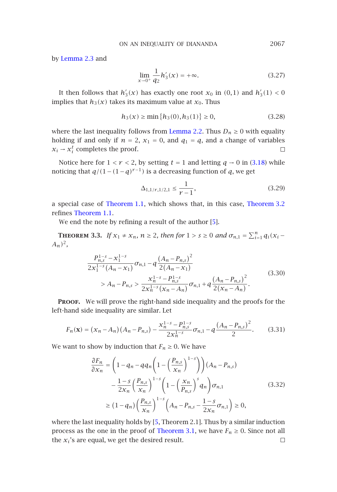# ON AN INEQUALITY OF DIANANDA 2067

by Lemma 2.3 and

$$
\lim_{x \to 0^+} \frac{1}{q_2} h'_3(x) = +\infty.
$$
\n(3.27)

It then follows that  $h'_3(x)$  has exactly one root  $x_0$  in  $(0,1)$  and  $h'_3(1) < 0$ implies that  $h_3(x)$  takes its maximum value at  $x_0$ . Thus

$$
h_3(x) \ge \min\{h_3(0), h_3(1)\} \ge 0,\tag{3.28}
$$

where [the last inequality](#page-0-0) [follow](#page-0-0)s from Lemma 2.2. Thus  $D_n \geq 0$  [with](#page-4-1) [equality](#page-4-1) holding if a[nd](#page-7-1) only if  $n = 2$ ,  $x_1 = 0$ , and  $q_1 = q$ , and a change of variables  $x_i \rightarrow x_i^t$  completes the proof.  $x_i \rightarrow x_i^t$  completes the proof.

Notice here for  $1 < r < 2$ , by setting  $t = 1$  and letting  $q \rightarrow 0$  in (3.18) while noticing that  $q/(1-(1-q)^{r-1})$  is a decreasing function of *q*, we get

$$
\Delta_{1,1/r,1/2,1} \le \frac{1}{r-1},\tag{3.29}
$$

a special case of Theorem 1.1, which shows that, in this case, Theorem 3.2 refines Theorem 1.1.

We end the note by refining a result of the author [5].

**THEOREM 3.3.** *If*  $x_1 \neq x_n$ ,  $n \geq 2$ , then for  $1 > s \geq 0$  *and*  $\sigma_{n,1} = \sum_{i=1}^n q_i(x_i - y_i)$ *An)*2*,*

$$
\frac{P_{n,s}^{1-s} - x_1^{1-s}}{2x_1^{1-s}(A_n - x_1)} \sigma_{n,1} - q \frac{(A_n - P_{n,s})^2}{2(A_n - x_1)} > A_n - P_{n,s} > \frac{x_n^{1-s} - P_{n,s}^{1-s}}{2x_n^{1-s}(x_n - A_n)} \sigma_{n,1} + q \frac{(A_n - P_{n,s})^2}{2(x_n - A_n)}.
$$
\n(3.30)

PROOF. We will prove the right-hand side inequality and the proofs for the left-hand side inequality are similar. Let

$$
F_n(\mathbf{x}) = (x_n - A_n)(A_n - P_{n,s}) - \frac{x_n^{1-s} - P_{n,s}^{1-s}}{2x_n^{1-s}} \sigma_{n,1} - q \frac{(A_n - P_{n,s})^2}{2}.
$$
 (3.31)

We want to show by induction th[at](#page-7-1)  $F_n \geq 0$ . We have

$$
\frac{\partial F_n}{\partial x_n} = \left(1 - q_n - q q_n \left(1 - \left(\frac{P_{n,s}}{x_n}\right)^{1-s}\right)\right) (A_n - P_{n,s})
$$

$$
- \frac{1 - s}{2x_n} \left(\frac{P_{n,s}}{x_n}\right)^{1-s} \left(1 - \left(\frac{x_n}{P_{n,s}}\right)^s q_n\right) \sigma_{n,1}
$$

$$
\geq (1 - q_n) \left(\frac{P_{n,s}}{x_n}\right)^{1-s} \left(A_n - P_{n,s} - \frac{1 - s}{2x_n} \sigma_{n,1}\right) \geq 0,
$$
\n(3.32)

where the last inequality holds by [5, Theorem 2.1]. Thus by a similar induction process as the one in the proof of Theorem 3.1, we have *F<sub>n</sub>*  $\geq$  0. Since not all the *x<sub>i</sub>*'s are equal, we get the desired result. the  $x_i$ 's are equal, we get the desired result.